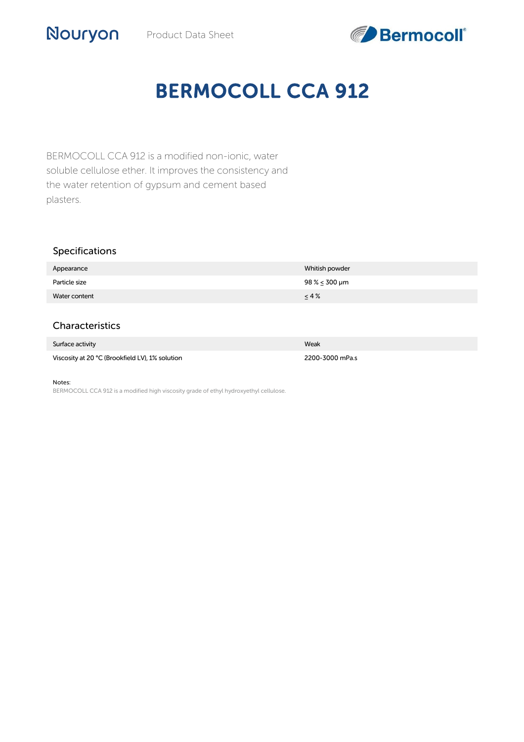

# BERMOCOLL CCA 912

BERMOCOLL CCA 912 is a modified non-ionic, water soluble cellulose ether. It improves the consistency and the water retention of gypsum and cement based plasters.

### Specifications

Nouryon

| Appearance    | Whitish powder |
|---------------|----------------|
| Particle size | 98 % ≤ 300 µm  |
| Water content | $\leq 4\%$     |

# Characteristics

| Surface activity                                | Weak            |
|-------------------------------------------------|-----------------|
| Viscosity at 20 °C (Brookfield LV), 1% solution | 2200-3000 mPa.s |

#### Notes:

BERMOCOLL CCA 912 is a modified high viscosity grade of ethyl hydroxyethyl cellulose.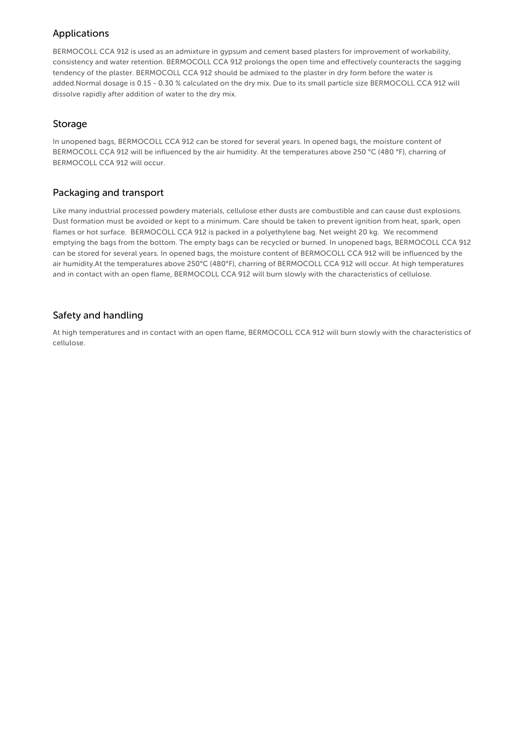# Applications

BERMOCOLL CCA 912 is used as an admixture in gypsum and cement based plasters for improvement of workability, consistency and water retention. BERMOCOLL CCA 912 prolongs the open time and effectively counteracts the sagging tendency of the plaster. BERMOCOLL CCA 912 should be admixed to the plaster in dry form before the water is added.Normal dosage is 0.15 - 0.30 % calculated on the dry mix. Due to its small particle size BERMOCOLL CCA 912 will dissolve rapidly after addition of water to the dry mix.

#### Storage

In unopened bags, BERMOCOLL CCA 912 can be stored for several years. In opened bags, the moisture content of BERMOCOLL CCA 912 will be influenced by the air humidity. At the temperatures above 250 °C (480 °F), charring of BERMOCOLL CCA 912 will occur.

### Packaging and transport

Like many industrial processed powdery materials, cellulose ether dusts are combustible and can cause dust explosions. Dust formation must be avoided or kept to a minimum. Care should be taken to prevent ignition from heat, spark, open flames or hot surface. BERMOCOLL CCA 912 is packed in a polyethylene bag. Net weight 20 kg. We recommend emptying the bags from the bottom. The empty bags can be recycled or burned. In unopened bags, BERMOCOLL CCA 912 can be stored for several years. In opened bags, the moisture content of BERMOCOLL CCA 912 will be influenced by the air humidity.At the temperatures above 250°C (480°F), charring of BERMOCOLL CCA 912 will occur. At high temperatures and in contact with an open flame, BERMOCOLL CCA 912 will burn slowly with the characteristics of cellulose.

# Safety and handling

At high temperatures and in contact with an open flame, BERMOCOLL CCA 912 will burn slowly with the characteristics of cellulose.